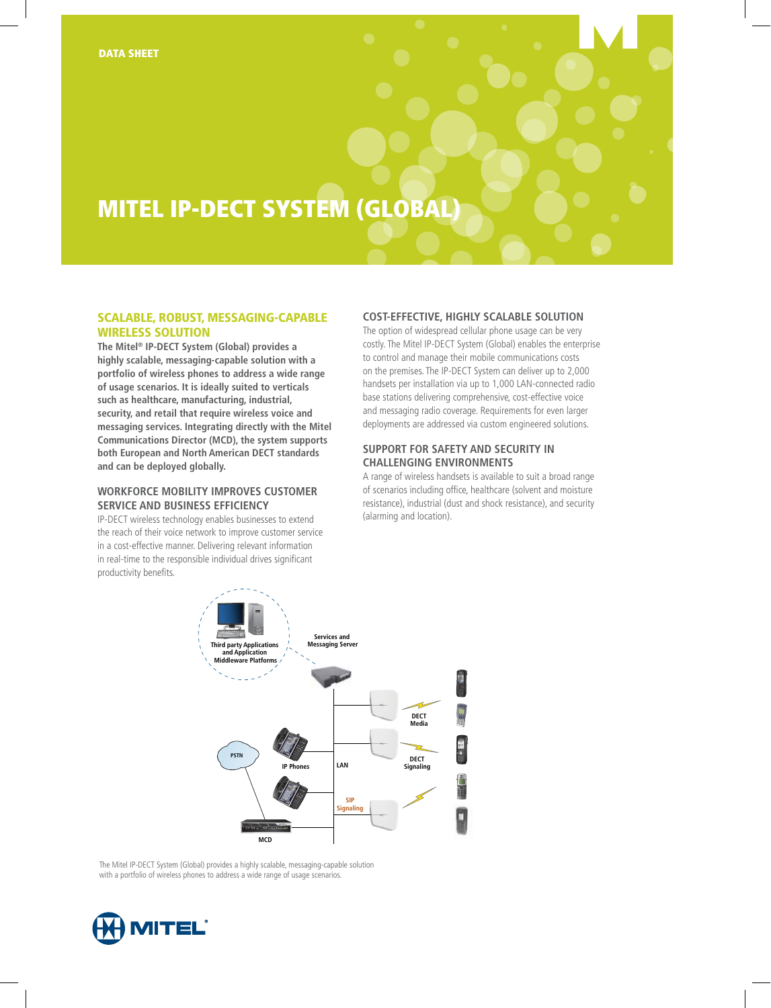# MITEL IP-DECT system (global)

## Scalable, Robust, Messaging-Capable Wireless Solution

**The Mitel® IP-DECT System (Global) provides a highly scalable, messaging-capable solution with a portfolio of wireless phones to address a wide range of usage scenarios. It is ideally suited to verticals such as healthcare, manufacturing, industrial, security, and retail that require wireless voice and messaging services. Integrating directly with the Mitel Communications Director (MCD), the system supports both European and North American DECT standards and can be deployed globally.**

## **Workforce Mobility Improves Customer Service and Business Efficiency**

IP-DECT wireless technology enables businesses to extend the reach of their voice network to improve customer service in a cost-effective manner. Delivering relevant information in real-time to the responsible individual drives significant productivity benefits.

## **Cost-Effective, Highly Scalable Solution**

The option of widespread cellular phone usage can be very costly. The Mitel IP-DECT System (Global) enables the enterprise to control and manage their mobile communications costs on the premises. The IP-DECT System can deliver up to 2,000 handsets per installation via up to 1,000 LAN-connected radio base stations delivering comprehensive, cost-effective voice and messaging radio coverage. Requirements for even larger deployments are addressed via custom engineered solutions.

## **Support for Safety and Security in Challenging Environments**

A range of wireless handsets is available to suit a broad range of scenarios including office, healthcare (solvent and moisture resistance), industrial (dust and shock resistance), and security (alarming and location).



The Mitel IP-DECT System (Global) provides a highly scalable, messaging-capable solution with a portfolio of wireless phones to address a wide range of usage scenarios.

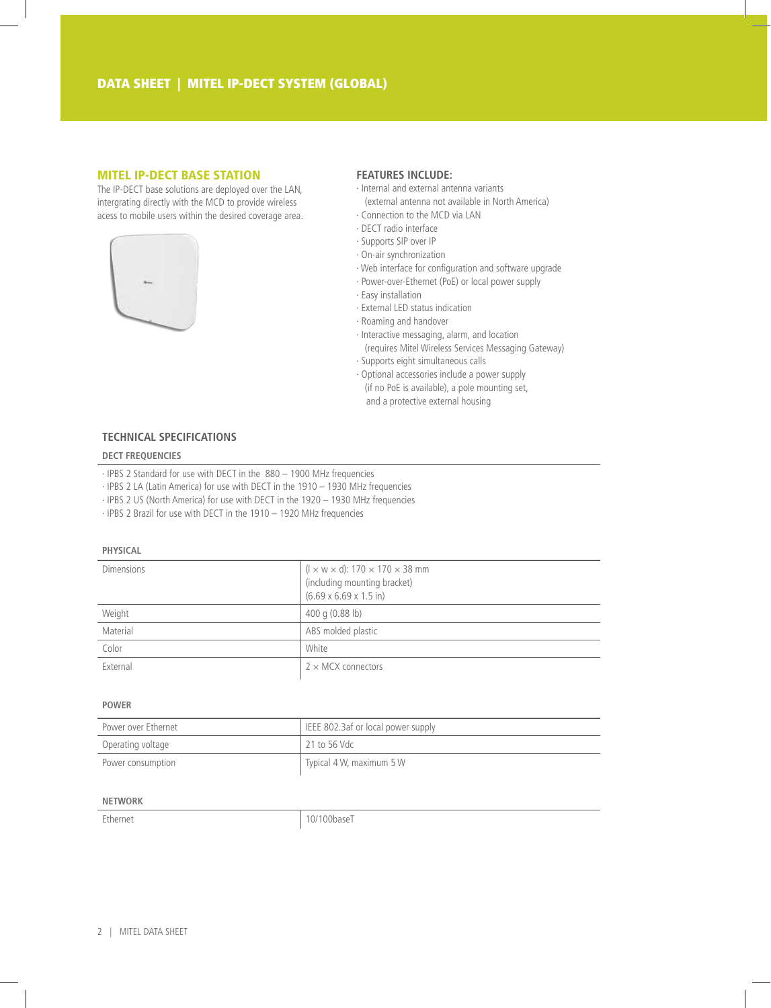## MITEL IP-DECT BASE STATION

The IP-DECT base solutions are deployed over the LAN, intergrating directly with the MCD to provide wireless acess to mobile users within the desired coverage area.



## **Features include:**

- · Internal and external antenna variants
- (external antenna not available in North America) · Connection to the MCD via LAN
- · DECT radio interface
- · Supports SIP over IP
- · On-air synchronization
- · Web interface for configuration and software upgrade
- · Power-over-Ethernet (PoE) or local power supply
- · Easy installation
- · External LED status indication
- · Roaming and handover
- · Interactive messaging, alarm, and location (requires Mitel Wireless Services Messaging Gateway)
- · Supports eight simultaneous calls
- · Optional accessories include a power supply (if no PoE is available), a pole mounting set, and a protective external housing

# **Technical Specifications**

#### **DECT frequencies**

- · IPBS 2 Standard for use with DECT in the 880 1900 MHz frequencies
- · IPBS 2 LA (Latin America) for use with DECT in the 1910 1930 MHz frequencies
- · IPBS 2 US (North America) for use with DECT in the 1920 1930 MHz frequencies
- · IPBS 2 Brazil for use with DECT in the 1910 1920 MHz frequencies

#### **Physical**

| <b>Dimensions</b> | $(l \times w \times d)$ : 170 $\times$ 170 $\times$ 38 mm<br>(including mounting bracket)<br>$(6.69 \times 6.69 \times 1.5 \text{ in})$ |
|-------------------|-----------------------------------------------------------------------------------------------------------------------------------------|
| Weight            | 400 g $(0.88 \text{ lb})$                                                                                                               |
| Material          | ABS molded plastic                                                                                                                      |
| Color             | White                                                                                                                                   |
| External          | $2 \times$ MCX connectors                                                                                                               |

#### **Power**

| Power over Ethernet | EEE 802.3af or local power supply |
|---------------------|-----------------------------------|
| Operating voltage   | 21 to 56 Vdc                      |
| Power consumption   | Typical 4 W, maximum 5 W          |

## **Network**

Ethernet 10/100baseT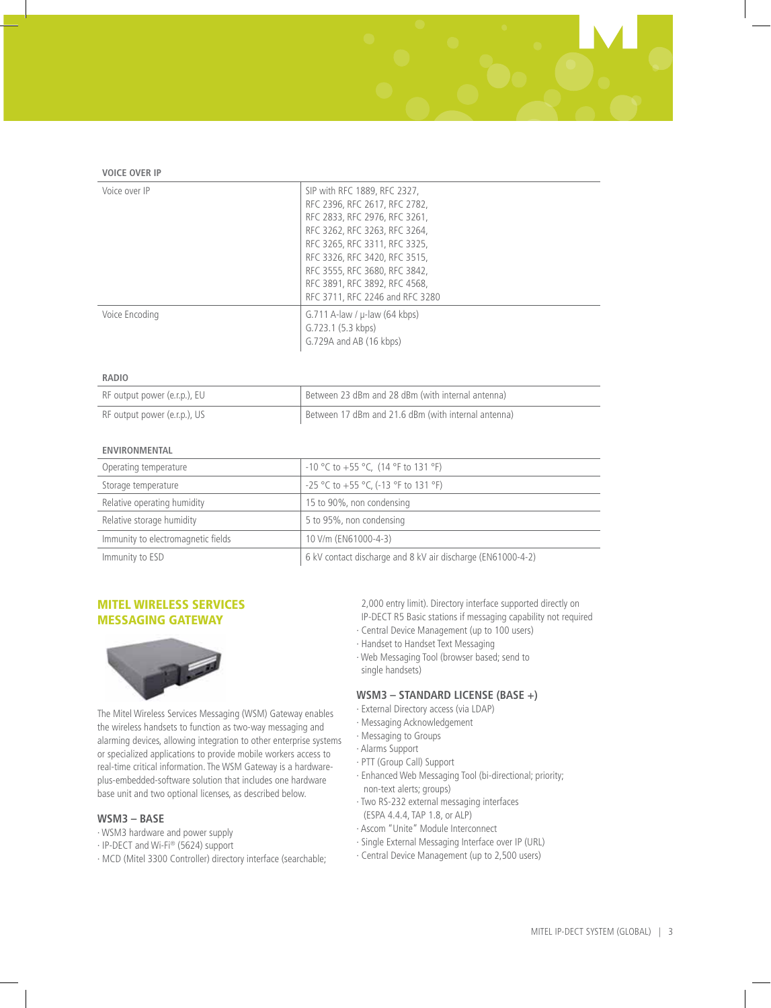#### **Voice over IP**

| Voice over IP  | SIP with RFC 1889, RFC 2327,<br>RFC 2396, RFC 2617, RFC 2782,<br>RFC 2833, RFC 2976, RFC 3261,<br>RFC 3262, RFC 3263, RFC 3264,<br>RFC 3265, RFC 3311, RFC 3325,<br>RFC 3326, RFC 3420, RFC 3515,<br>RFC 3555, RFC 3680, RFC 3842,<br>RFC 3891, RFC 3892, RFC 4568,<br>RFC 3711, RFC 2246 and RFC 3280 |
|----------------|--------------------------------------------------------------------------------------------------------------------------------------------------------------------------------------------------------------------------------------------------------------------------------------------------------|
| Voice Encoding | G.711 A-law / $\mu$ -law (64 kbps)<br>G.723.1(5.3 kbps)<br>G.729A and AB (16 kbps)                                                                                                                                                                                                                     |

#### **Radio**

| RF output power (e.r.p.), EU | Between 23 dBm and 28 dBm (with internal antenna)   |
|------------------------------|-----------------------------------------------------|
| RF output power (e.r.p.), US | Between 17 dBm and 21.6 dBm (with internal antenna) |

#### **Environmental**

| Operating temperature              | $-10$ °C to $+55$ °C, (14 °F to 131 °F)                     |
|------------------------------------|-------------------------------------------------------------|
| Storage temperature                | -25 °C to +55 °C, (-13 °F to 131 °F)                        |
| Relative operating humidity        | 15 to 90%, non condensing                                   |
| Relative storage humidity          | 5 to 95%, non condensing                                    |
| Immunity to electromagnetic fields | 10 V/m (EN61000-4-3)                                        |
| Immunity to ESD                    | 6 kV contact discharge and 8 kV air discharge (EN61000-4-2) |

## MITEL WIRELESS SERVICES MESSAGING GATEWAY



The Mitel Wireless Services Messaging (WSM) Gateway enables the wireless handsets to function as two-way messaging and alarming devices, allowing integration to other enterprise systems or specialized applications to provide mobile workers access to real-time critical information. The WSM Gateway is a hardwareplus-embedded-software solution that includes one hardware base unit and two optional licenses, as described below.

## **WSM3 – Base**

- · WSM3 hardware and power supply
- · IP-DECT and Wi-Fi® (5624) support
- · MCD (Mitel 3300 Controller) directory interface (searchable;

2,000 entry limit). Directory interface supported directly on IP-DECT R5 Basic stations if messaging capability not required

- · Central Device Management (up to 100 users)
- · Handset to Handset Text Messaging
- · Web Messaging Tool (browser based; send to single handsets)

## **WSM3 – Standard License (Base +)**

- · External Directory access (via LDAP)
- · Messaging Acknowledgement
- · Messaging to Groups
- · Alarms Support
- · PTT (Group Call) Support
- · Enhanced Web Messaging Tool (bi-directional; priority; non-text alerts; groups)
- · Two RS-232 external messaging interfaces
- (ESPA 4.4.4, TAP 1.8, or ALP) · Ascom "Unite" Module Interconnect
- 
- · Single External Messaging Interface over IP (URL) · Central Device Management (up to 2,500 users)
-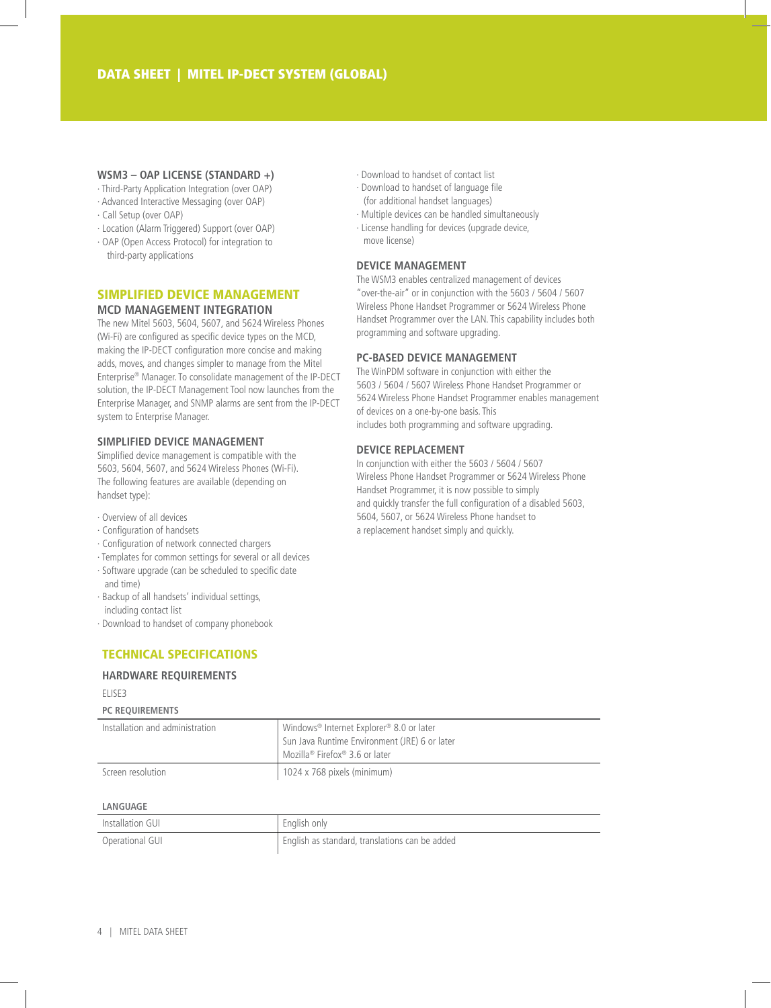#### **WSM3 – OAP License (Standard +)**

- · Third-Party Application Integration (over OAP)
- · Advanced Interactive Messaging (over OAP)
- · Call Setup (over OAP)
- · Location (Alarm Triggered) Support (over OAP)
- · OAP (Open Access Protocol) for integration to third-party applications

## Simplified Device Management **MCD Management Integration**

The new Mitel 5603, 5604, 5607, and 5624 Wireless Phones (Wi-Fi) are configured as specific device types on the MCD, making the IP-DECT configuration more concise and making adds, moves, and changes simpler to manage from the Mitel Enterprise® Manager. To consolidate management of the IP-DECT solution, the IP-DECT Management Tool now launches from the Enterprise Manager, and SNMP alarms are sent from the IP-DECT system to Enterprise Manager.

## **Simplified Device Management**

Simplified device management is compatible with the 5603, 5604, 5607, and 5624 Wireless Phones (Wi-Fi). The following features are available (depending on handset type):

- · Overview of all devices
- · Configuration of handsets
- · Configuration of network connected chargers
- · Templates for common settings for several or all devices
- · Software upgrade (can be scheduled to specific date and time)
- · Backup of all handsets' individual settings, including contact list
- · Download to handset of company phonebook

# Technical Specifications

## **Hardware Requirements**

#### ELISE3

#### **PC Requirements**

| Installation and administration | Windows <sup>®</sup> Internet Explorer <sup>®</sup> 8.0 or later<br>Sun Java Runtime Environment (JRE) 6 or later<br>Mozilla® Firefox® 3.6 or later |
|---------------------------------|-----------------------------------------------------------------------------------------------------------------------------------------------------|
| Screen resolution               | 1024 x 768 pixels (minimum)                                                                                                                         |

#### **language**

| Installation GUI | English only                                   |
|------------------|------------------------------------------------|
| Operational GUI  | English as standard, translations can be added |

- · Download to handset of contact list
- · Download to handset of language file (for additional handset languages)
- · Multiple devices can be handled simultaneously
- · License handling for devices (upgrade device, move license)

## **Device Management**

The WSM3 enables centralized management of devices "over-the-air" or in conjunction with the 5603 / 5604 / 5607 Wireless Phone Handset Programmer or 5624 Wireless Phone Handset Programmer over the LAN. This capability includes both programming and software upgrading.

## **PC-Based Device Management**

The WinPDM software in conjunction with either the 5603 / 5604 / 5607 Wireless Phone Handset Programmer or 5624 Wireless Phone Handset Programmer enables management of devices on a one-by-one basis. This includes both programming and software upgrading.

## **device replacement**

In conjunction with either the 5603 / 5604 / 5607 Wireless Phone Handset Programmer or 5624 Wireless Phone Handset Programmer, it is now possible to simply and quickly transfer the full configuration of a disabled 5603, 5604, 5607, or 5624 Wireless Phone handset to a replacement handset simply and quickly.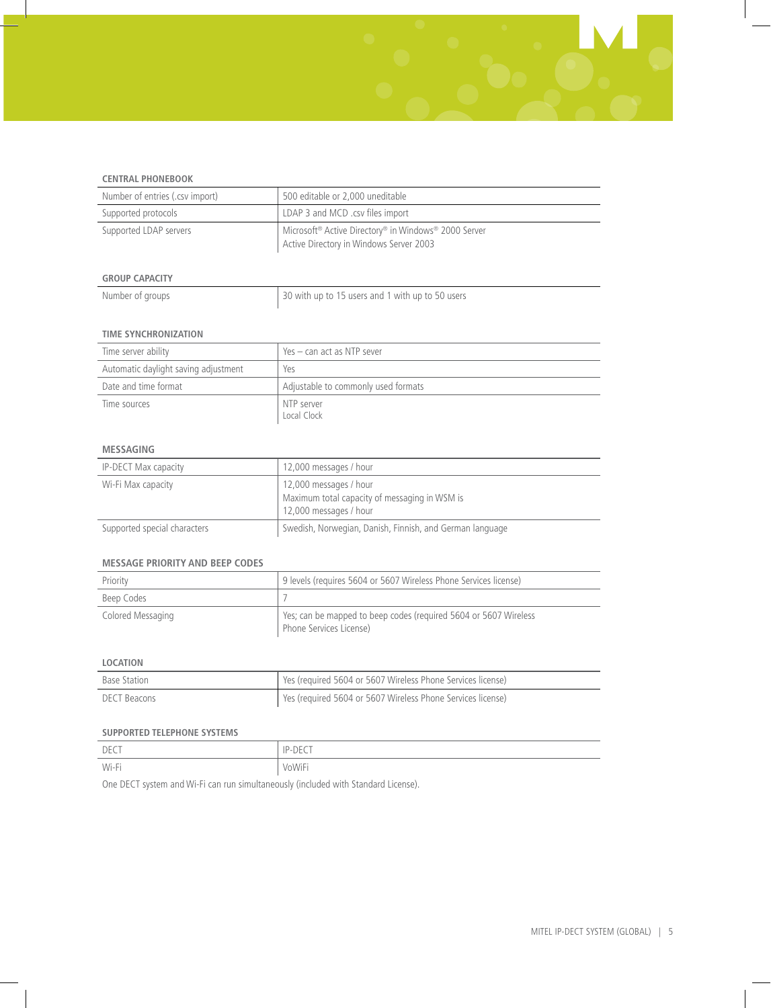

| Number of entries (.csv import) | 500 editable or 2.000 uneditable                                                                |
|---------------------------------|-------------------------------------------------------------------------------------------------|
| Supported protocols             | LDAP 3 and MCD .csv files import                                                                |
| Supported LDAP servers          | Microsoft® Active Directory® in Windows® 2000 Server<br>Active Directory in Windows Server 2003 |

## **Group Capacity**

| Number of groups | 30 with up to 15 users and 1 with up to 50 users |
|------------------|--------------------------------------------------|
|                  |                                                  |

## **Time Synchronization**

| Time server ability                  | Yes – can act as NTP sever          |
|--------------------------------------|-------------------------------------|
| Automatic daylight saving adjustment | Yes                                 |
| Date and time format                 | Adjustable to commonly used formats |
| Time sources                         | NTP server<br>Local Clock           |

## **Messaging**

| <b>IP-DECT Max capacity</b>  | 12,000 messages / hour                                                                            |
|------------------------------|---------------------------------------------------------------------------------------------------|
| Wi-Fi Max capacity           | 12,000 messages / hour<br>Maximum total capacity of messaging in WSM is<br>12,000 messages / hour |
| Supported special characters | Swedish, Norwegian, Danish, Finnish, and German language                                          |

#### **Message Priority and Beep Codes**

| Priority          | 9 levels (requires 5604 or 5607 Wireless Phone Services license)                            |
|-------------------|---------------------------------------------------------------------------------------------|
| Beep Codes        |                                                                                             |
| Colored Messaging | Yes; can be mapped to beep codes (required 5604 or 5607 Wireless<br>Phone Services License) |

## **Location**

| Base Station | Yes (required 5604 or 5607 Wireless Phone Services license) |
|--------------|-------------------------------------------------------------|
| DECT Beacons | Yes (required 5604 or 5607 Wireless Phone Services license) |

## **Supported Telephone Systems**

| DECT  | ID DECT<br>レーー |
|-------|----------------|
| Wi-Fi | <b>VoWiFi</b>  |

One DECT system and Wi-Fi can run simultaneously (included with Standard License).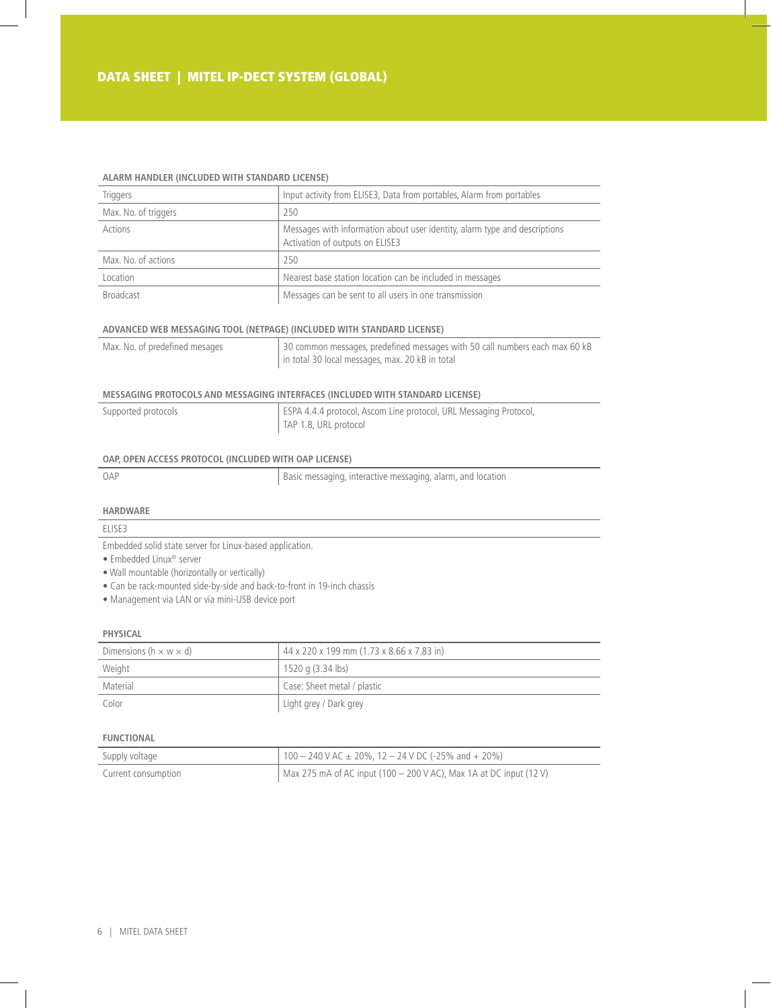#### **Alarm Handler (included with Standard license)**

| Triggers             | Input activity from ELISE3, Data from portables, Alarm from portables                                         |  |  |
|----------------------|---------------------------------------------------------------------------------------------------------------|--|--|
| Max. No. of triggers | 250                                                                                                           |  |  |
| Actions              | Messages with information about user identity, alarm type and descriptions<br>Activation of outputs on ELISE3 |  |  |
| Max. No. of actions  | 250                                                                                                           |  |  |
| Location             | Nearest base station location can be included in messages                                                     |  |  |
| <b>Broadcast</b>     | Messages can be sent to all users in one transmission                                                         |  |  |

#### **Advanced Web Messaging Tool (Netpage) (included with Standard license)**

| Max. No. of predefined mesages | 30 common messages, predefined messages with 50 call numbers each max 60 kB |  |
|--------------------------------|-----------------------------------------------------------------------------|--|
|                                | in total 30 local messages, max. 20 kB in total                             |  |

# **Messaging Protocols and Messaging Interfaces (included with Standard license)**

| Supported protocols | ESPA 4.4.4 protocol, Ascom Line protocol, URL Messaging Protocol, |
|---------------------|-------------------------------------------------------------------|
|                     | TAP 1.8, URL protocol                                             |

## **OAP, Open Access Protocol (included with OAP License)**

OAP Basic messaging, interactive messaging, alarm, and location

#### **Hardware**

## ELISE3

Embedded solid state server for Linux-based application.

- Embedded Linux® server
- Wall mountable (horizontally or vertically)
- Can be rack-mounted side-by-side and back-to-front in 19-inch chassis
- Management via LAN or via mini-USB device port

#### **Physical**

| Dimensions (h $\times$ w $\times$ d) | 44 x 220 x 199 mm (1.73 x 8.66 x 7.83 in) |  |
|--------------------------------------|-------------------------------------------|--|
| Weight                               | 1520 g (3.34 lbs)                         |  |
| Material                             | Case: Sheet metal / plastic               |  |
| Color                                | Light grey / Dark grey                    |  |

#### **Functional**

| Supply voltage      | $100 - 240$ V AC $\pm$ 20%, 12 - 24 V DC (-25% and + 20%)            |
|---------------------|----------------------------------------------------------------------|
| Current consumption | Max 275 mA of AC input (100 $-$ 200 V AC), Max 1A at DC input (12 V) |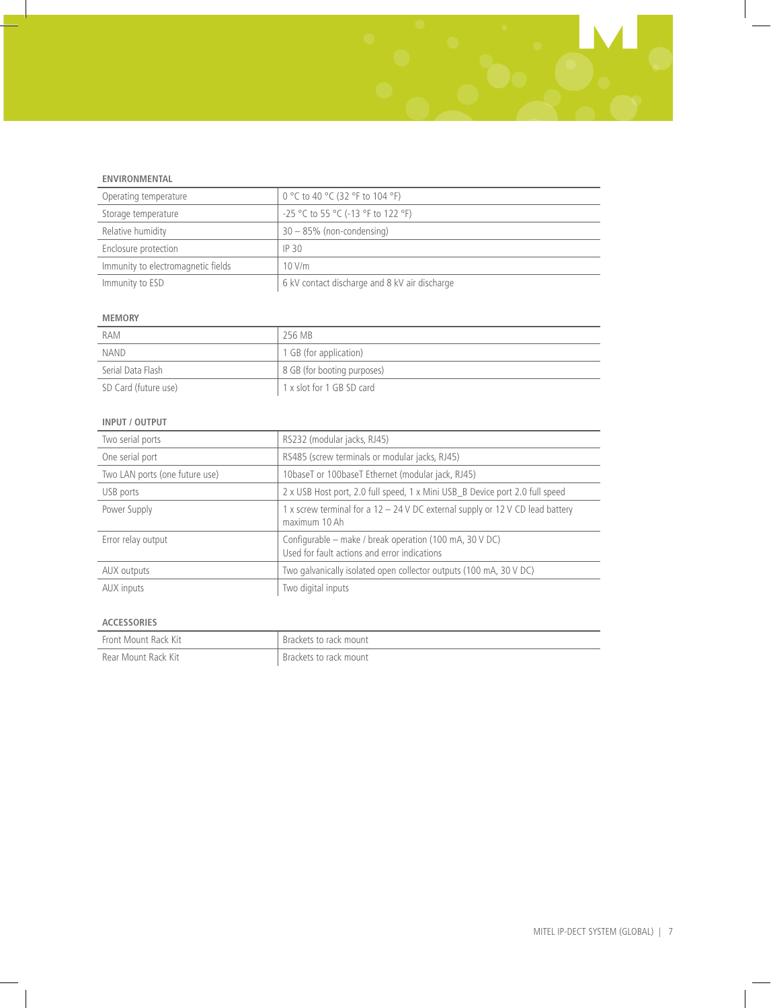## **Environmental**

| Operating temperature              | 0 °C to 40 °C (32 °F to 104 °F)               |
|------------------------------------|-----------------------------------------------|
| Storage temperature                | $-25$ °C to 55 °C (-13 °F to 122 °F)          |
| Relative humidity                  | $30 - 85\%$ (non-condensing)                  |
| Enclosure protection               | IP <sub>30</sub>                              |
| Immunity to electromagnetic fields | 10 V/m                                        |
| Immunity to ESD                    | 6 kV contact discharge and 8 kV air discharge |

## **Memory**

| RAM                  | 256 MB                      |
|----------------------|-----------------------------|
| <b>NAND</b>          | 1 GB (for application)      |
| Serial Data Flash    | 8 GB (for booting purposes) |
| SD Card (future use) | 1 x slot for 1 GB SD card   |

## **Input / Output**

| Two serial ports               | RS232 (modular jacks, RJ45)                                                                             |  |  |
|--------------------------------|---------------------------------------------------------------------------------------------------------|--|--|
| One serial port                | RS485 (screw terminals or modular jacks, RJ45)                                                          |  |  |
| Two LAN ports (one future use) | 10baseT or 100baseT Ethernet (modular jack, RJ45)                                                       |  |  |
| USB ports                      | 2 x USB Host port, 2.0 full speed, 1 x Mini USB_B Device port 2.0 full speed                            |  |  |
| Power Supply                   | 1 x screw terminal for a $12 - 24$ V DC external supply or 12 V CD lead battery<br>maximum 10 Ah        |  |  |
| Error relay output             | Configurable – make / break operation (100 mA, 30 V DC)<br>Used for fault actions and error indications |  |  |
| AUX outputs                    | Two galvanically isolated open collector outputs (100 mA, 30 V DC)                                      |  |  |
| AUX inputs                     | Two digital inputs                                                                                      |  |  |

# **Accessories**

| Front Mount Rack Kit | Brackets to rack mount |
|----------------------|------------------------|
| Rear Mount Rack Kit  | Brackets to rack mount |